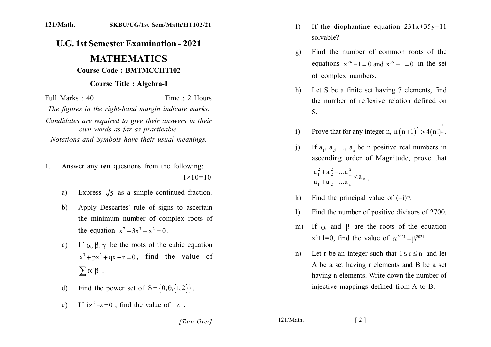## 121/Math. SKBU/UG/1st Sem/Math/HT102/21

## **U.G. 1st Semester Examination - 2021 MATHEMATICS**

## **Course Code: BMTMCCHT102**

## **Course Title: Algebra-I**

Full Marks  $\cdot$  40 Time  $\cdot$  2 Hours The figures in the right-hand margin indicate marks. Candidates are required to give their answers in their own words as far as practicable. Notations and Symbols have their usual meanings.

- Answer any ten questions from the following:  $\mathbf{1}$  $1 \times 10 = 10$ 
	- Express  $\sqrt{5}$  as a simple continued fraction.  $a)$
	- Apply Descartes' rule of signs to ascertain b) the minimum number of complex roots of the equation  $x^7 - 3x^3 + x^2 = 0$ .
	- If  $\alpha$ ,  $\beta$ ,  $\gamma$  be the roots of the cubic equation  $c)$  $x^3 + px^2 + qx + r = 0$ , find the value of  $\sum \alpha^2 \beta^2$ .
	- Find the power set of  $S = \{0, \theta, \{1, 2\}\}\.$  $\mathbf{d}$
	- If  $iz^2 \overline{z} = 0$ , find the value of | z |.  $e)$
- If the diophantine equation  $231x+35y=11$  $f$ solvable?
- Find the number of common roots of the  $g)$ equations  $x^{24} - 1 = 0$  and  $x^{36} - 1 = 0$  in the set of complex numbers.
- Let S be a finite set having 7 elements, find  $h)$ the number of reflexive relation defined on S.
- Prove that for any integer n,  $n(n+1)^2 > 4(n!)^{\frac{3}{n}}$ .  $i)$
- If  $a_1$ ,  $a_2$ , ...,  $a_n$  be n positive real numbers in  $\overline{1}$ ascending order of Magnitude, prove that  $\frac{a_1^2 + a_2^2 + ... a_n^2}{a_1 + a_2 + ... a_n} < a_n$ .
- Find the principal value of  $(-i)^{-i}$ .  $\bf k$
- Find the number of positive divisors of 2700.  $\mathbf{D}$
- If  $\alpha$  and  $\beta$  are the roots of the equation  $m$ )  $x^2+1=0$ , find the value of  $\alpha^{2021} + \beta^{2021}$ .
- Let r be an integer such that  $1 \le r \le n$  and let  $n)$ A be a set having r elements and B be a set having n elements. Write down the number of injective mappings defined from A to B.

 $121/Math$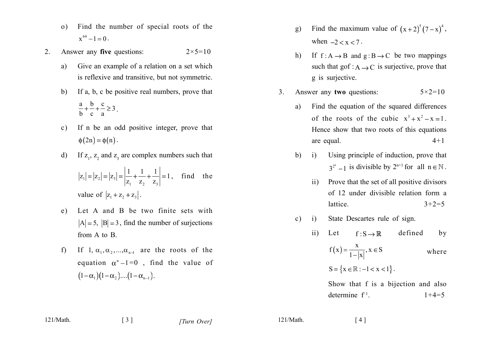- Find the number of special roots of the  $\Omega$  $x^{64} - 1 = 0$ .
- Answer any five questions:  $2 \times 5 = 10$  $2<sub>1</sub>$ 
	- Give an example of a relation on a set which a) is reflexive and transitive, but not symmetric.
	- $b)$ If a, b, c be positive real numbers, prove that  $\frac{a}{b} + \frac{b}{c} + \frac{c}{c} \ge 3$ .
	- If n be an odd positive integer, prove that  $c)$  $\phi(2n) = \phi(n)$ .
	- d) If  $z_1$ ,  $z_2$  and  $z_3$  are complex numbers such that  $|z_1| = |z_2| = |z_3| = \left| \frac{1}{z_1} + \frac{1}{z_2} + \frac{1}{z_3} \right| = 1$ , find the value of  $|z_1 + z_2 + z_3|$ .
	- Let A and B be two finite sets with  $e)$  $|A| = 5$ ,  $|B| = 3$ , find the number of surjections from A to B.
	- If 1,  $\alpha_1, \alpha_2, ..., \alpha_{n-1}$  are the roots of the  $f$ equation  $\alpha^{n}-1=0$ , find the value of  $(1-\alpha_1)(1-\alpha_2)...(1-\alpha_{n-1}).$
- Find the maximum value of  $(x+2)^5 (7-x)^4$ , g) when  $-2 < x < 7$ .
- If  $f : A \rightarrow B$  and  $g : B \rightarrow C$  be two mappings  $h$ ) such that gof :  $A \rightarrow C$  is surjective, prove that g is surjective.
- $3<sub>1</sub>$ Answer any two questions:  $5 \times 2 = 10$ 
	- Find the equation of the squared differences a) of the roots of the cubic  $x^3 + x^2 - x = 1$ . Hence show that two roots of this equations  $4 + 1$ are equal.
	- $b)$  $(i)$ Using principle of induction, prove that  $3^{2^n} - 1$  is divisible by  $2^{n+1}$  for all  $n \in \mathbb{N}$ .
		- Prove that the set of all positive divisors  $\overline{11}$ of 12 under divisible relation form a lattice.  $3+2=5$
	- State Descartes rule of sign.  $\mathbf{c})$  $\mathbf{i}$

defined  $\overline{11}$ Let  $f: S \rightarrow \mathbb{R}$ by

$$
f(x) = \frac{x}{1-|x|}, x \in S \quad \text{where}
$$
  

$$
S = \{x \in \mathbb{R} : -1 < x < 1\}.
$$

Show that f is a bijection and also determine  $f^{-1}$ .  $1+4=5$ 

 $\begin{bmatrix} 3 \end{bmatrix}$ 

 $121/Math$